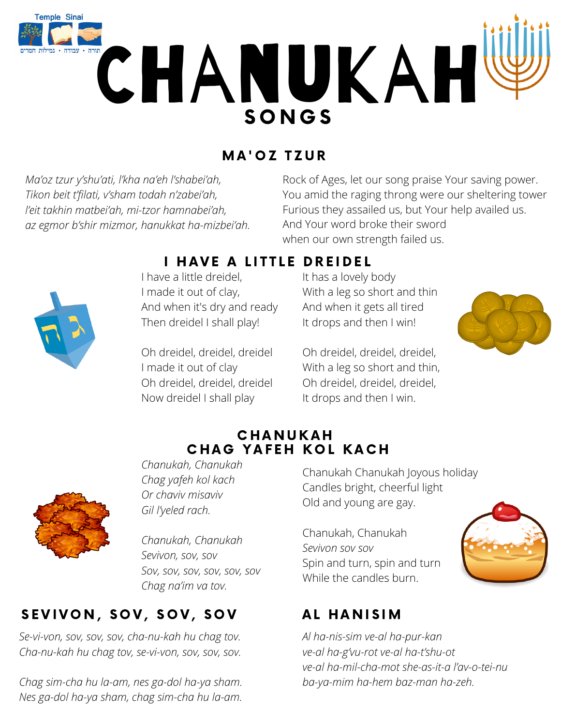

# MA'OZ TZUR

*Ma'oz tzur y'shu'ati, l'kha na'eh l'shabei'ah, Tikon beit t'filati, v'sham todah n'zabei'ah, l'eit takhin matbei'ah, mi-tzor hamnabei'ah, az egmor b'shir mizmor, hanukkat ha-mizbei'ah.*

Rock of Ages, let our song praise Your saving power. You amid the raging throng were our sheltering tower Furious they assailed us, but Your help availed us. And Your word broke their sword when our own strength failed us.



### I HAVE A LITTLE DREIDEL

I have a little dreidel, I made it out of clay, And when it's dry and ready Then dreidel I shall play!

Oh dreidel, dreidel, dreidel I made it out of clay Oh dreidel, dreidel, dreidel Now dreidel I shall play

It has a lovely body With a leg so short and thin And when it gets all tired It drops and then I win!

Oh dreidel, dreidel, dreidel, With a leg so short and thin, Oh dreidel, dreidel, dreidel, It drops and then I win.

#### **CHANUKAH** CHAG YAFEH KOL KACH



*Chanukah, Chanukah Chag yafeh kol kach Or chaviv misaviv Gil l'yeled rach.*

*Chanukah, Chanukah Sevivon, sov, sov Sov, sov, sov, sov, sov, sov Chag na'im va tov.*

# SEVIVON, SOV, SOV, SOV

*Se-vi-von, sov, sov, sov, cha-nu-kah hu chag tov. Cha-nu-kah hu chag tov, se-vi-von, sov, sov, sov.*

*Chag sim-cha hu la-am, nes ga-dol ha-ya sham. Nes ga-dol ha-ya sham, chag sim-cha hu la-am.*

Chanukah Chanukah Joyous holiday Candles bright, cheerful light Old and young are gay.

Chanukah, Chanukah *Sevivon sov sov* Spin and turn, spin and turn While the candles burn.

# AL HANISIM

*Al ha-nis-sim ve-al ha-pur-kan ve-al ha-g'vu-rot ve-al ha-t'shu-ot ve-al ha-mil-cha-mot she-as-it-a l'av-o-tei-nu ba-ya-mim ha-hem baz-man ha-zeh.*